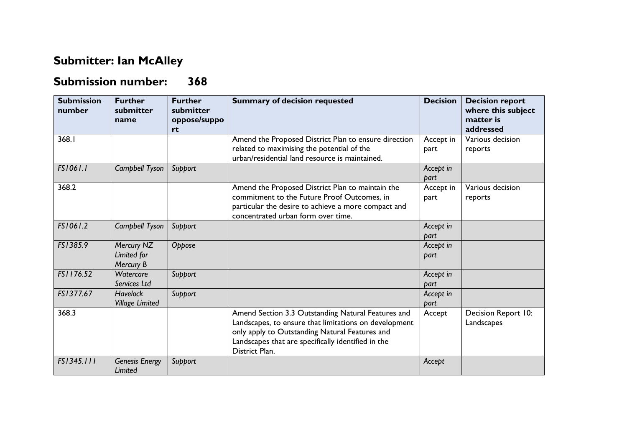## **Submitter: Ian McAlley**

## **Submission number: 368**

| <b>Submission</b><br>number | <b>Further</b><br>submitter<br>name       | <b>Further</b><br>submitter<br>oppose/suppo<br>rt | <b>Summary of decision requested</b>                                                                                                                                                                                                  | <b>Decision</b>   | <b>Decision report</b><br>where this subject<br>matter is<br>addressed |
|-----------------------------|-------------------------------------------|---------------------------------------------------|---------------------------------------------------------------------------------------------------------------------------------------------------------------------------------------------------------------------------------------|-------------------|------------------------------------------------------------------------|
| 368.1                       |                                           |                                                   | Amend the Proposed District Plan to ensure direction<br>related to maximising the potential of the<br>urban/residential land resource is maintained.                                                                                  | Accept in<br>part | Various decision<br>reports                                            |
| FS1061.1                    | Campbell Tyson                            | Support                                           |                                                                                                                                                                                                                                       | Accept in<br>part |                                                                        |
| 368.2                       |                                           |                                                   | Amend the Proposed District Plan to maintain the<br>commitment to the Future Proof Outcomes, in<br>particular the desire to achieve a more compact and<br>concentrated urban form over time.                                          | Accept in<br>part | Various decision<br>reports                                            |
| FS1061.2                    | Campbell Tyson                            | Support                                           |                                                                                                                                                                                                                                       | Accept in<br>part |                                                                        |
| FS1385.9                    | Mercury NZ<br>Limited for<br>Mercury B    | Oppose                                            |                                                                                                                                                                                                                                       | Accept in<br>part |                                                                        |
| FS1176.52                   | Watercare<br>Services Ltd                 | Support                                           |                                                                                                                                                                                                                                       | Accept in<br>part |                                                                        |
| FS1377.67                   | <b>Havelock</b><br><b>Village Limited</b> | Support                                           |                                                                                                                                                                                                                                       | Accept in<br>part |                                                                        |
| 368.3                       |                                           |                                                   | Amend Section 3.3 Outstanding Natural Features and<br>Landscapes, to ensure that limitations on development<br>only apply to Outstanding Natural Features and<br>Landscapes that are specifically identified in the<br>District Plan. | Accept            | Decision Report 10:<br>Landscapes                                      |
| FS1345.111                  | <b>Genesis Energy</b><br><b>Limited</b>   | Support                                           |                                                                                                                                                                                                                                       | Accept            |                                                                        |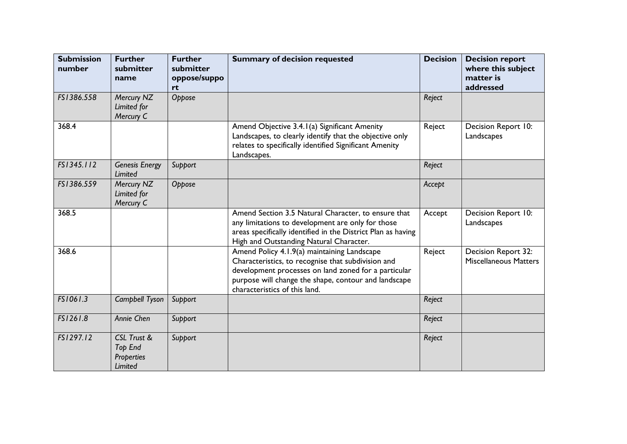| <b>Submission</b><br>number | <b>Further</b><br>submitter<br>name             | <b>Further</b><br>submitter<br>oppose/suppo<br>rt | <b>Summary of decision requested</b>                                                                                                                                                                                                               | <b>Decision</b> | <b>Decision report</b><br>where this subject<br>matter is<br>addressed |
|-----------------------------|-------------------------------------------------|---------------------------------------------------|----------------------------------------------------------------------------------------------------------------------------------------------------------------------------------------------------------------------------------------------------|-----------------|------------------------------------------------------------------------|
| FS1386.558                  | Mercury NZ<br>Limited for<br>Mercury C          | Oppose                                            |                                                                                                                                                                                                                                                    | Reject          |                                                                        |
| 368.4                       |                                                 |                                                   | Amend Objective 3.4.1(a) Significant Amenity<br>Landscapes, to clearly identify that the objective only<br>relates to specifically identified Significant Amenity<br>Landscapes.                                                                   | Reject          | Decision Report 10:<br>Landscapes                                      |
| FS1345.112                  | <b>Genesis Energy</b><br>Limited                | Support                                           |                                                                                                                                                                                                                                                    | Reject          |                                                                        |
| FS1386.559                  | Mercury NZ<br>Limited for<br>Mercury C          | Oppose                                            |                                                                                                                                                                                                                                                    | Accept          |                                                                        |
| 368.5                       |                                                 |                                                   | Amend Section 3.5 Natural Character, to ensure that<br>any limitations to development are only for those<br>areas specifically identified in the District Plan as having<br>High and Outstanding Natural Character.                                | Accept          | Decision Report 10:<br>Landscapes                                      |
| 368.6                       |                                                 |                                                   | Amend Policy 4.1.9(a) maintaining Landscape<br>Characteristics, to recognise that subdivision and<br>development processes on land zoned for a particular<br>purpose will change the shape, contour and landscape<br>characteristics of this land. | Reject          | Decision Report 32:<br><b>Miscellaneous Matters</b>                    |
| FS1061.3                    | Campbell Tyson                                  | Support                                           |                                                                                                                                                                                                                                                    | Reject          |                                                                        |
| FS1261.8                    | Annie Chen                                      | Support                                           |                                                                                                                                                                                                                                                    | Reject          |                                                                        |
| FS1297.12                   | CSL Trust &<br>Top End<br>Properties<br>Limited | Support                                           |                                                                                                                                                                                                                                                    | Reject          |                                                                        |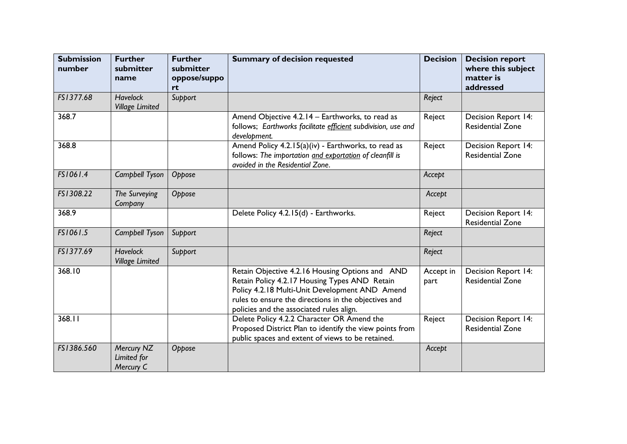| <b>Submission</b><br>number | <b>Further</b><br>submitter<br>name       | <b>Further</b><br>submitter<br>oppose/suppo<br>rt | <b>Summary of decision requested</b>                                                                                                                                                                                                                   | <b>Decision</b>   | <b>Decision report</b><br>where this subject<br>matter is<br>addressed |
|-----------------------------|-------------------------------------------|---------------------------------------------------|--------------------------------------------------------------------------------------------------------------------------------------------------------------------------------------------------------------------------------------------------------|-------------------|------------------------------------------------------------------------|
| FS1377.68                   | <b>Havelock</b><br><b>Village Limited</b> | Support                                           |                                                                                                                                                                                                                                                        | Reject            |                                                                        |
| 368.7                       |                                           |                                                   | Amend Objective 4.2.14 - Earthworks, to read as<br>follows; Earthworks facilitate efficient subdivision, use and<br>development.                                                                                                                       | Reject            | Decision Report 14:<br><b>Residential Zone</b>                         |
| 368.8                       |                                           |                                                   | Amend Policy 4.2.15(a)(iv) - Earthworks, to read as<br>follows: The importation and exportation of cleanfill is<br>avoided in the Residential Zone.                                                                                                    | Reject            | Decision Report 14:<br><b>Residential Zone</b>                         |
| FS1061.4                    | Campbell Tyson                            | Oppose                                            |                                                                                                                                                                                                                                                        | Accept            |                                                                        |
| FS1308.22                   | The Surveying<br>Company                  | Oppose                                            |                                                                                                                                                                                                                                                        | Accept            |                                                                        |
| 368.9                       |                                           |                                                   | Delete Policy 4.2.15(d) - Earthworks.                                                                                                                                                                                                                  | Reject            | Decision Report 14:<br><b>Residential Zone</b>                         |
| FS1061.5                    | Campbell Tyson                            | Support                                           |                                                                                                                                                                                                                                                        | Reject            |                                                                        |
| FS1377.69                   | <b>Havelock</b><br><b>Village Limited</b> | Support                                           |                                                                                                                                                                                                                                                        | Reject            |                                                                        |
| 368.10                      |                                           |                                                   | Retain Objective 4.2.16 Housing Options and AND<br>Retain Policy 4.2.17 Housing Types AND Retain<br>Policy 4.2.18 Multi-Unit Development AND Amend<br>rules to ensure the directions in the objectives and<br>policies and the associated rules align. | Accept in<br>part | Decision Report 14:<br><b>Residential Zone</b>                         |
| 368.11                      |                                           |                                                   | Delete Policy 4.2.2 Character OR Amend the<br>Proposed District Plan to identify the view points from<br>public spaces and extent of views to be retained.                                                                                             | Reject            | <b>Decision Report 14:</b><br><b>Residential Zone</b>                  |
| FS1386.560                  | Mercury NZ<br>Limited for<br>Mercury C    | Oppose                                            |                                                                                                                                                                                                                                                        | Accept            |                                                                        |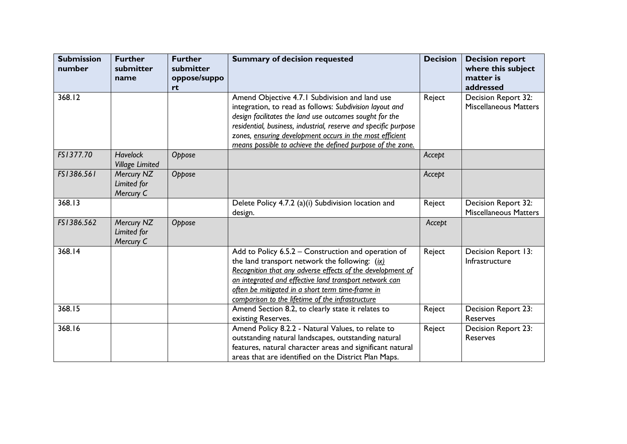| <b>Submission</b><br>number | <b>Further</b><br>submitter<br>name       | <b>Further</b><br>submitter<br>oppose/suppo<br>rt | <b>Summary of decision requested</b>                                                                                                                                                                                                                                                                                                                              | <b>Decision</b> | <b>Decision report</b><br>where this subject<br>matter is<br>addressed |
|-----------------------------|-------------------------------------------|---------------------------------------------------|-------------------------------------------------------------------------------------------------------------------------------------------------------------------------------------------------------------------------------------------------------------------------------------------------------------------------------------------------------------------|-----------------|------------------------------------------------------------------------|
| 368.12                      |                                           |                                                   | Amend Objective 4.7.1 Subdivision and land use<br>integration, to read as follows: Subdivision layout and<br>design facilitates the land use outcomes sought for the<br>residential, business, industrial, reserve and specific purpose<br>zones, ensuring development occurs in the most efficient<br>means possible to achieve the defined purpose of the zone. | Reject          | Decision Report 32:<br><b>Miscellaneous Matters</b>                    |
| FS1377.70                   | <b>Havelock</b><br><b>Village Limited</b> | Oppose                                            |                                                                                                                                                                                                                                                                                                                                                                   | Accept          |                                                                        |
| FS1386.561                  | Mercury NZ<br>Limited for<br>Mercury C    | Oppose                                            |                                                                                                                                                                                                                                                                                                                                                                   | Accept          |                                                                        |
| 368.13                      |                                           |                                                   | Delete Policy 4.7.2 (a)(i) Subdivision location and<br>design.                                                                                                                                                                                                                                                                                                    | Reject          | Decision Report 32:<br><b>Miscellaneous Matters</b>                    |
| FS1386.562                  | Mercury NZ<br>Limited for<br>Mercury C    | Oppose                                            |                                                                                                                                                                                                                                                                                                                                                                   | Accept          |                                                                        |
| 368.14                      |                                           |                                                   | Add to Policy 6.5.2 - Construction and operation of<br>the land transport network the following: $(ix)$<br>Recognition that any adverse effects of the development of<br>an integrated and effective land transport network can<br>often be mitigated in a short term time-frame in<br>comparison to the lifetime of the infrastructure                           | Reject          | Decision Report 13:<br>Infrastructure                                  |
| 368.15                      |                                           |                                                   | Amend Section 8.2, to clearly state it relates to<br>existing Reserves.                                                                                                                                                                                                                                                                                           | Reject          | Decision Report 23:<br>Reserves                                        |
| 368.16                      |                                           |                                                   | Amend Policy 8.2.2 - Natural Values, to relate to<br>outstanding natural landscapes, outstanding natural<br>features, natural character areas and significant natural<br>areas that are identified on the District Plan Maps.                                                                                                                                     | Reject          | <b>Decision Report 23:</b><br>Reserves                                 |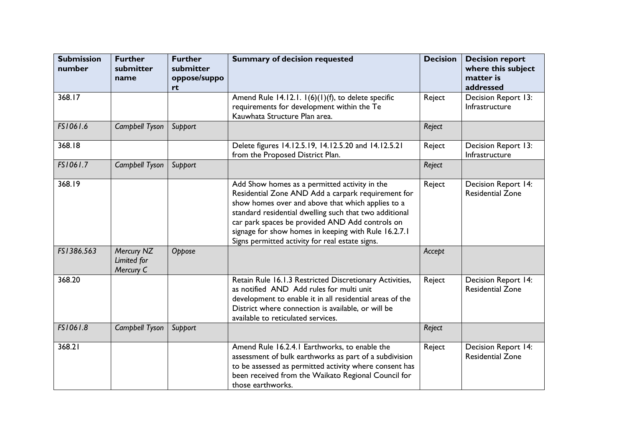| <b>Submission</b><br>number | <b>Further</b><br>submitter<br>name    | <b>Further</b><br>submitter<br>oppose/suppo<br>rt | <b>Summary of decision requested</b>                                                                                                                                                                                                                                                                                                                                             | <b>Decision</b> | <b>Decision report</b><br>where this subject<br>matter is<br>addressed |
|-----------------------------|----------------------------------------|---------------------------------------------------|----------------------------------------------------------------------------------------------------------------------------------------------------------------------------------------------------------------------------------------------------------------------------------------------------------------------------------------------------------------------------------|-----------------|------------------------------------------------------------------------|
| 368.17                      |                                        |                                                   | Amend Rule 14.12.1. 1(6)(1)(f), to delete specific<br>requirements for development within the Te<br>Kauwhata Structure Plan area.                                                                                                                                                                                                                                                | Reject          | Decision Report 13:<br>Infrastructure                                  |
| FS1061.6                    | Campbell Tyson                         | Support                                           |                                                                                                                                                                                                                                                                                                                                                                                  | Reject          |                                                                        |
| 368.18                      |                                        |                                                   | Delete figures 14.12.5.19, 14.12.5.20 and 14.12.5.21<br>from the Proposed District Plan.                                                                                                                                                                                                                                                                                         | Reject          | Decision Report 13:<br>Infrastructure                                  |
| FS1061.7                    | Campbell Tyson                         | Support                                           |                                                                                                                                                                                                                                                                                                                                                                                  | Reject          |                                                                        |
| 368.19                      |                                        |                                                   | Add Show homes as a permitted activity in the<br>Residential Zone AND Add a carpark requirement for<br>show homes over and above that which applies to a<br>standard residential dwelling such that two additional<br>car park spaces be provided AND Add controls on<br>signage for show homes in keeping with Rule 16.2.7.1<br>Signs permitted activity for real estate signs. | Reject          | Decision Report 14:<br><b>Residential Zone</b>                         |
| FS1386.563                  | Mercury NZ<br>Limited for<br>Mercury C | Oppose                                            |                                                                                                                                                                                                                                                                                                                                                                                  | Accept          |                                                                        |
| 368.20                      |                                        |                                                   | Retain Rule 16.1.3 Restricted Discretionary Activities,<br>as notified AND Add rules for multi unit<br>development to enable it in all residential areas of the<br>District where connection is available, or will be<br>available to reticulated services.                                                                                                                      | Reject          | <b>Decision Report 14:</b><br><b>Residential Zone</b>                  |
| FS1061.8                    | Campbell Tyson                         | Support                                           |                                                                                                                                                                                                                                                                                                                                                                                  | Reject          |                                                                        |
| 368.21                      |                                        |                                                   | Amend Rule 16.2.4.1 Earthworks, to enable the<br>assessment of bulk earthworks as part of a subdivision<br>to be assessed as permitted activity where consent has<br>been received from the Waikato Regional Council for<br>those earthworks.                                                                                                                                    | Reject          | Decision Report 14:<br><b>Residential Zone</b>                         |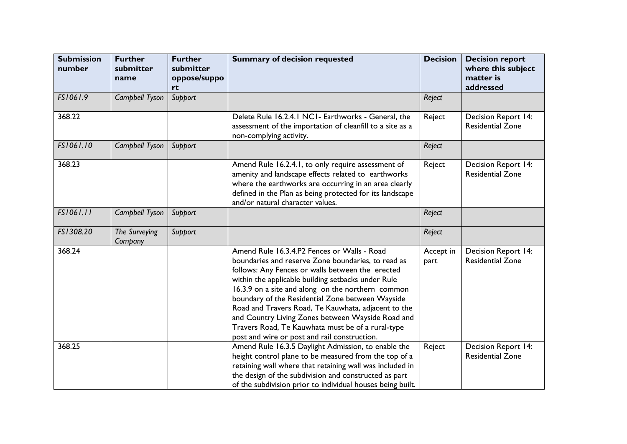| <b>Submission</b><br>number | <b>Further</b><br>submitter<br>name | <b>Further</b><br>submitter<br>oppose/suppo<br>rt | <b>Summary of decision requested</b>                                                                                                                                                                                                                                                                                                                                                                                                                                                                                                  | <b>Decision</b>   | <b>Decision report</b><br>where this subject<br>matter is<br>addressed |
|-----------------------------|-------------------------------------|---------------------------------------------------|---------------------------------------------------------------------------------------------------------------------------------------------------------------------------------------------------------------------------------------------------------------------------------------------------------------------------------------------------------------------------------------------------------------------------------------------------------------------------------------------------------------------------------------|-------------------|------------------------------------------------------------------------|
| FS1061.9                    | Campbell Tyson                      | Support                                           |                                                                                                                                                                                                                                                                                                                                                                                                                                                                                                                                       | Reject            |                                                                        |
| 368.22                      |                                     |                                                   | Delete Rule 16.2.4.1 NC1- Earthworks - General, the<br>assessment of the importation of cleanfill to a site as a<br>non-complying activity.                                                                                                                                                                                                                                                                                                                                                                                           | Reject            | Decision Report 14:<br><b>Residential Zone</b>                         |
| FS1061.10                   | Campbell Tyson                      | Support                                           |                                                                                                                                                                                                                                                                                                                                                                                                                                                                                                                                       | Reject            |                                                                        |
| 368.23                      |                                     |                                                   | Amend Rule 16.2.4.1, to only require assessment of<br>amenity and landscape effects related to earthworks<br>where the earthworks are occurring in an area clearly<br>defined in the Plan as being protected for its landscape<br>and/or natural character values.                                                                                                                                                                                                                                                                    | Reject            | Decision Report 14:<br><b>Residential Zone</b>                         |
| FS1061.11                   | Campbell Tyson                      | Support                                           |                                                                                                                                                                                                                                                                                                                                                                                                                                                                                                                                       | Reject            |                                                                        |
| FS1308.20                   | The Surveying<br>Company            | Support                                           |                                                                                                                                                                                                                                                                                                                                                                                                                                                                                                                                       | Reject            |                                                                        |
| 368.24                      |                                     |                                                   | Amend Rule 16.3.4.P2 Fences or Walls - Road<br>boundaries and reserve Zone boundaries, to read as<br>follows: Any Fences or walls between the erected<br>within the applicable building setbacks under Rule<br>16.3.9 on a site and along on the northern common<br>boundary of the Residential Zone between Wayside<br>Road and Travers Road, Te Kauwhata, adjacent to the<br>and Country Living Zones between Wayside Road and<br>Travers Road, Te Kauwhata must be of a rural-type<br>post and wire or post and rail construction. | Accept in<br>part | Decision Report 14:<br><b>Residential Zone</b>                         |
| 368.25                      |                                     |                                                   | Amend Rule 16.3.5 Daylight Admission, to enable the<br>height control plane to be measured from the top of a<br>retaining wall where that retaining wall was included in<br>the design of the subdivision and constructed as part<br>of the subdivision prior to individual houses being built.                                                                                                                                                                                                                                       | Reject            | Decision Report 14:<br><b>Residential Zone</b>                         |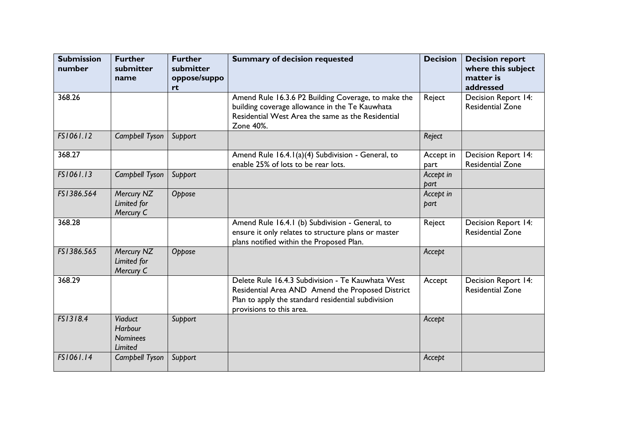| <b>Submission</b><br>number | <b>Further</b><br>submitter<br>name                            | <b>Further</b><br>submitter<br>oppose/suppo<br>rt | <b>Summary of decision requested</b>                                                                                                                                                    | <b>Decision</b>   | <b>Decision report</b><br>where this subject<br>matter is<br>addressed |
|-----------------------------|----------------------------------------------------------------|---------------------------------------------------|-----------------------------------------------------------------------------------------------------------------------------------------------------------------------------------------|-------------------|------------------------------------------------------------------------|
| 368.26                      |                                                                |                                                   | Amend Rule 16.3.6 P2 Building Coverage, to make the<br>building coverage allowance in the Te Kauwhata<br>Residential West Area the same as the Residential<br>Zone 40%.                 | Reject            | Decision Report 14:<br><b>Residential Zone</b>                         |
| FS1061.12                   | Campbell Tyson                                                 | Support                                           |                                                                                                                                                                                         | Reject            |                                                                        |
| 368.27                      |                                                                |                                                   | Amend Rule 16.4.1(a)(4) Subdivision - General, to<br>enable 25% of lots to be rear lots.                                                                                                | Accept in<br>part | Decision Report 14:<br><b>Residential Zone</b>                         |
| FS1061.13                   | Campbell Tyson                                                 | Support                                           |                                                                                                                                                                                         | Accept in<br>part |                                                                        |
| FS1386.564                  | Mercury NZ<br>Limited for<br>Mercury C                         | Oppose                                            |                                                                                                                                                                                         | Accept in<br>part |                                                                        |
| 368.28                      |                                                                |                                                   | Amend Rule 16.4.1 (b) Subdivision - General, to<br>ensure it only relates to structure plans or master<br>plans notified within the Proposed Plan.                                      | Reject            | Decision Report 14:<br><b>Residential Zone</b>                         |
| FS1386.565                  | Mercury NZ<br>Limited for<br>Mercury C                         | Oppose                                            |                                                                                                                                                                                         | Accept            |                                                                        |
| 368.29                      |                                                                |                                                   | Delete Rule 16.4.3 Subdivision - Te Kauwhata West<br>Residential Area AND Amend the Proposed District<br>Plan to apply the standard residential subdivision<br>provisions to this area. | Accept            | Decision Report 14:<br><b>Residential Zone</b>                         |
| FS1318.4                    | <b>Viaduct</b><br><b>Harbour</b><br><b>Nominees</b><br>Limited | Support                                           |                                                                                                                                                                                         | Accept            |                                                                        |
| FS1061.14                   | Campbell Tyson                                                 | Support                                           |                                                                                                                                                                                         | Accept            |                                                                        |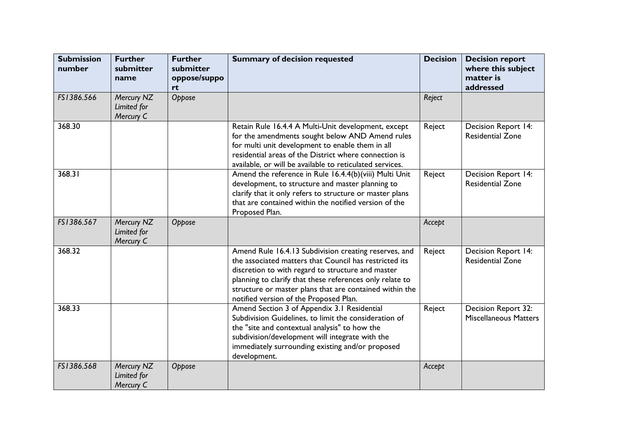| <b>Submission</b><br>number | <b>Further</b><br>submitter<br>name    | <b>Further</b><br>submitter<br>oppose/suppo<br>rt | <b>Summary of decision requested</b>                                                                                                                                                                                                                                                                                                  | <b>Decision</b> | <b>Decision report</b><br>where this subject<br>matter is<br>addressed |
|-----------------------------|----------------------------------------|---------------------------------------------------|---------------------------------------------------------------------------------------------------------------------------------------------------------------------------------------------------------------------------------------------------------------------------------------------------------------------------------------|-----------------|------------------------------------------------------------------------|
| FS1386.566                  | Mercury NZ<br>Limited for<br>Mercury C | Oppose                                            |                                                                                                                                                                                                                                                                                                                                       | Reject          |                                                                        |
| 368.30                      |                                        |                                                   | Retain Rule 16.4.4 A Multi-Unit development, except<br>for the amendments sought below AND Amend rules<br>for multi unit development to enable them in all<br>residential areas of the District where connection is<br>available, or will be available to reticulated services.                                                       | Reject          | <b>Decision Report 14:</b><br><b>Residential Zone</b>                  |
| 368.31                      |                                        |                                                   | Amend the reference in Rule 16.4.4(b)(viii) Multi Unit<br>development, to structure and master planning to<br>clarify that it only refers to structure or master plans<br>that are contained within the notified version of the<br>Proposed Plan.                                                                                     | Reject          | Decision Report 14:<br><b>Residential Zone</b>                         |
| FS1386.567                  | Mercury NZ<br>Limited for<br>Mercury C | Oppose                                            |                                                                                                                                                                                                                                                                                                                                       | Accept          |                                                                        |
| 368.32                      |                                        |                                                   | Amend Rule 16.4.13 Subdivision creating reserves, and<br>the associated matters that Council has restricted its<br>discretion to with regard to structure and master<br>planning to clarify that these references only relate to<br>structure or master plans that are contained within the<br>notified version of the Proposed Plan. | Reject          | Decision Report 14:<br><b>Residential Zone</b>                         |
| 368.33                      |                                        |                                                   | Amend Section 3 of Appendix 3.1 Residential<br>Subdivision Guidelines, to limit the consideration of<br>the "site and contextual analysis" to how the<br>subdivision/development will integrate with the<br>immediately surrounding existing and/or proposed<br>development.                                                          | Reject          | Decision Report 32:<br><b>Miscellaneous Matters</b>                    |
| FS1386.568                  | Mercury NZ<br>Limited for<br>Mercury C | Oppose                                            |                                                                                                                                                                                                                                                                                                                                       | Accept          |                                                                        |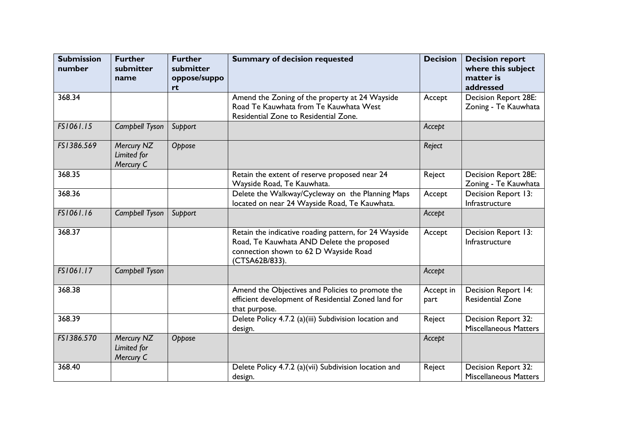| <b>Submission</b><br>number | <b>Further</b><br>submitter<br>name    | <b>Further</b><br>submitter<br>oppose/suppo<br>rt | <b>Summary of decision requested</b>                                                                                                                          | <b>Decision</b>   | <b>Decision report</b><br>where this subject<br>matter is<br>addressed |
|-----------------------------|----------------------------------------|---------------------------------------------------|---------------------------------------------------------------------------------------------------------------------------------------------------------------|-------------------|------------------------------------------------------------------------|
| 368.34                      |                                        |                                                   | Amend the Zoning of the property at 24 Wayside<br>Road Te Kauwhata from Te Kauwhata West<br>Residential Zone to Residential Zone.                             | Accept            | <b>Decision Report 28E:</b><br>Zoning - Te Kauwhata                    |
| FS1061.15                   | Campbell Tyson                         | Support                                           |                                                                                                                                                               | Accept            |                                                                        |
| FS1386.569                  | Mercury NZ<br>Limited for<br>Mercury C | Oppose                                            |                                                                                                                                                               | Reject            |                                                                        |
| 368.35                      |                                        |                                                   | Retain the extent of reserve proposed near 24<br>Wayside Road, Te Kauwhata.                                                                                   | Reject            | <b>Decision Report 28E:</b><br>Zoning - Te Kauwhata                    |
| 368.36                      |                                        |                                                   | Delete the Walkway/Cycleway on the Planning Maps<br>located on near 24 Wayside Road, Te Kauwhata.                                                             | Accept            | Decision Report 13:<br>Infrastructure                                  |
| FS1061.16                   | Campbell Tyson                         | Support                                           |                                                                                                                                                               | Accept            |                                                                        |
| 368.37                      |                                        |                                                   | Retain the indicative roading pattern, for 24 Wayside<br>Road, Te Kauwhata AND Delete the proposed<br>connection shown to 62 D Wayside Road<br>(CTSA62B/833). | Accept            | Decision Report 13:<br>Infrastructure                                  |
| FS1061.17                   | Campbell Tyson                         |                                                   |                                                                                                                                                               | Accept            |                                                                        |
| 368.38                      |                                        |                                                   | Amend the Objectives and Policies to promote the<br>efficient development of Residential Zoned land for<br>that purpose.                                      | Accept in<br>part | Decision Report 14:<br><b>Residential Zone</b>                         |
| 368.39                      |                                        |                                                   | Delete Policy 4.7.2 (a)(iii) Subdivision location and<br>design.                                                                                              | Reject            | Decision Report 32:<br><b>Miscellaneous Matters</b>                    |
| FS1386.570                  | Mercury NZ<br>Limited for<br>Mercury C | Oppose                                            |                                                                                                                                                               | Accept            |                                                                        |
| 368.40                      |                                        |                                                   | Delete Policy 4.7.2 (a)(vii) Subdivision location and<br>design.                                                                                              | Reject            | Decision Report 32:<br><b>Miscellaneous Matters</b>                    |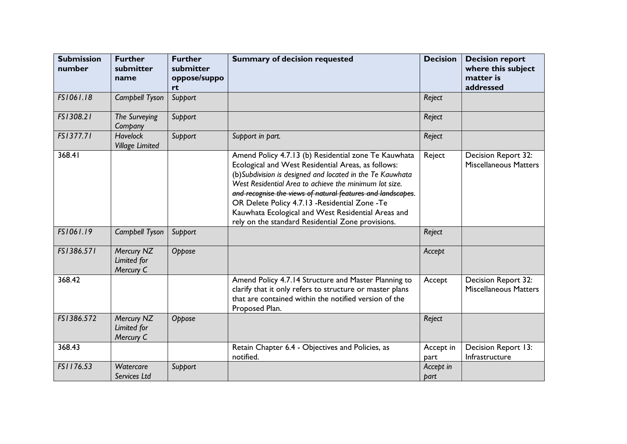| <b>Submission</b><br>number | <b>Further</b><br>submitter<br>name       | <b>Further</b><br>submitter<br>oppose/suppo<br>rt | <b>Summary of decision requested</b>                                                                                                                                                                                                                                                                                                                                                                                                                            | <b>Decision</b>   | <b>Decision report</b><br>where this subject<br>matter is<br>addressed |
|-----------------------------|-------------------------------------------|---------------------------------------------------|-----------------------------------------------------------------------------------------------------------------------------------------------------------------------------------------------------------------------------------------------------------------------------------------------------------------------------------------------------------------------------------------------------------------------------------------------------------------|-------------------|------------------------------------------------------------------------|
| FS1061.18                   | Campbell Tyson                            | Support                                           |                                                                                                                                                                                                                                                                                                                                                                                                                                                                 | Reject            |                                                                        |
| FS1308.21                   | The Surveying<br>Company                  | Support                                           |                                                                                                                                                                                                                                                                                                                                                                                                                                                                 | Reject            |                                                                        |
| FS1377.71                   | <b>Havelock</b><br><b>Village Limited</b> | Support                                           | Support in part.                                                                                                                                                                                                                                                                                                                                                                                                                                                | Reject            |                                                                        |
| 368.41                      |                                           |                                                   | Amend Policy 4.7.13 (b) Residential zone Te Kauwhata<br>Ecological and West Residential Areas, as follows:<br>(b) Subdivision is designed and located in the Te Kauwhata<br>West Residential Area to achieve the minimum lot size.<br>and recognise the views of natural features and landscapes.<br>OR Delete Policy 4.7.13 - Residential Zone - Te<br>Kauwhata Ecological and West Residential Areas and<br>rely on the standard Residential Zone provisions. | Reject            | Decision Report 32:<br><b>Miscellaneous Matters</b>                    |
| FS1061.19                   | Campbell Tyson                            | Support                                           |                                                                                                                                                                                                                                                                                                                                                                                                                                                                 | Reject            |                                                                        |
| FS1386.571                  | Mercury NZ<br>Limited for<br>Mercury C    | Oppose                                            |                                                                                                                                                                                                                                                                                                                                                                                                                                                                 | Accept            |                                                                        |
| 368.42                      |                                           |                                                   | Amend Policy 4.7.14 Structure and Master Planning to<br>clarify that it only refers to structure or master plans<br>that are contained within the notified version of the<br>Proposed Plan.                                                                                                                                                                                                                                                                     | Accept            | Decision Report 32:<br><b>Miscellaneous Matters</b>                    |
| FS1386.572                  | Mercury NZ<br>Limited for<br>Mercury C    | Oppose                                            |                                                                                                                                                                                                                                                                                                                                                                                                                                                                 | Reject            |                                                                        |
| 368.43                      |                                           |                                                   | Retain Chapter 6.4 - Objectives and Policies, as<br>notified.                                                                                                                                                                                                                                                                                                                                                                                                   | Accept in<br>part | Decision Report 13:<br>Infrastructure                                  |
| FS1176.53                   | Watercare<br>Services Ltd                 | Support                                           |                                                                                                                                                                                                                                                                                                                                                                                                                                                                 | Accept in<br>part |                                                                        |